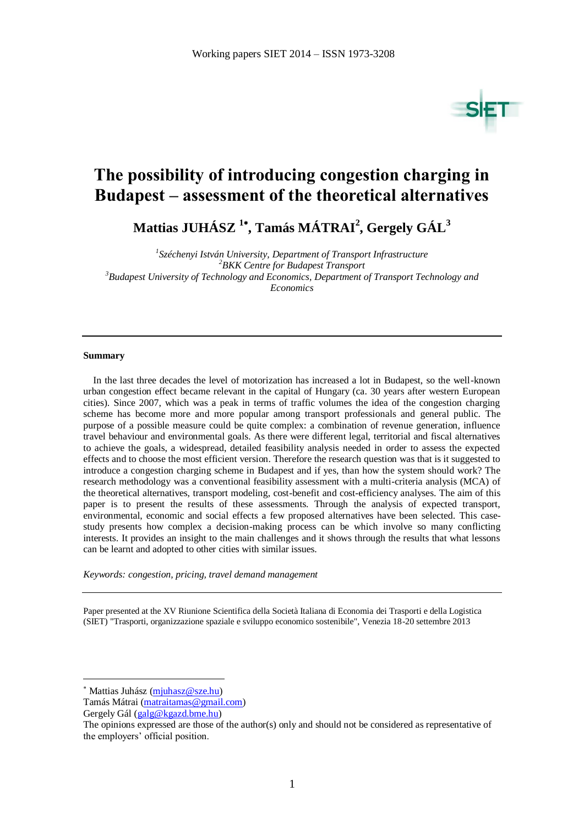

# **The possibility of introducing congestion charging in Budapest – assessment of the theoretical alternatives**

**Mattias JUHÁSZ <sup>1</sup> , Tamás MÁTRAI<sup>2</sup> , Gergely GÁL<sup>3</sup>**

 *Széchenyi István University, Department of Transport Infrastructure BKK Centre for Budapest Transport Budapest University of Technology and Economics, Department of Transport Technology and Economics*

#### **Summary**

In the last three decades the level of motorization has increased a lot in Budapest, so the well-known urban congestion effect became relevant in the capital of Hungary (ca. 30 years after western European cities). Since 2007, which was a peak in terms of traffic volumes the idea of the congestion charging scheme has become more and more popular among transport professionals and general public. The purpose of a possible measure could be quite complex: a combination of revenue generation, influence travel behaviour and environmental goals. As there were different legal, territorial and fiscal alternatives to achieve the goals, a widespread, detailed feasibility analysis needed in order to assess the expected effects and to choose the most efficient version. Therefore the research question was that is it suggested to introduce a congestion charging scheme in Budapest and if yes, than how the system should work? The research methodology was a conventional feasibility assessment with a multi-criteria analysis (MCA) of the theoretical alternatives, transport modeling, cost-benefit and cost-efficiency analyses. The aim of this paper is to present the results of these assessments. Through the analysis of expected transport, environmental, economic and social effects a few proposed alternatives have been selected. This casestudy presents how complex a decision-making process can be which involve so many conflicting interests. It provides an insight to the main challenges and it shows through the results that what lessons can be learnt and adopted to other cities with similar issues.

*Keywords: congestion, pricing, travel demand management*

Paper presented at the XV Riunione Scientifica della Società Italiana di Economia dei Trasporti e della Logistica (SIET) "Trasporti, organizzazione spaziale e sviluppo economico sostenibile", Venezia 18-20 settembre 2013

 $\overline{a}$ 

<sup>\*</sup> Mattias Juhász [\(mjuhasz@sze.hu\)](mailto:mjuhasz@sze.hu)

Tamás Mátrai [\(matraitamas@gmail.com\)](mailto:matraitamas@gmail.com)

Gergely Gál [\(galg@kgazd.bme.hu\)](mailto:galg@kgazd.bme.hu)

The opinions expressed are those of the author(s) only and should not be considered as representative of the employers' official position.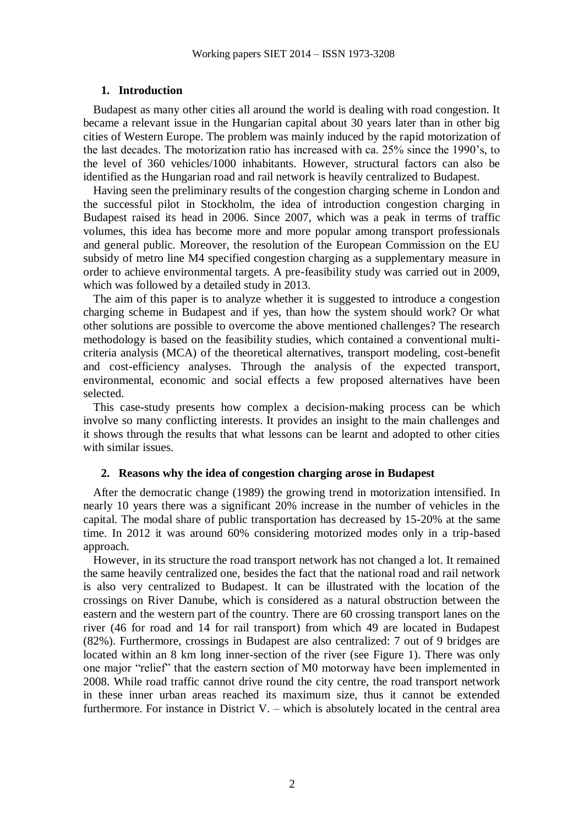#### **1. Introduction**

Budapest as many other cities all around the world is dealing with road congestion. It became a relevant issue in the Hungarian capital about 30 years later than in other big cities of Western Europe. The problem was mainly induced by the rapid motorization of the last decades. The motorization ratio has increased with ca. 25% since the 1990's, to the level of 360 vehicles/1000 inhabitants. However, structural factors can also be identified as the Hungarian road and rail network is heavily centralized to Budapest.

Having seen the preliminary results of the congestion charging scheme in London and the successful pilot in Stockholm, the idea of introduction congestion charging in Budapest raised its head in 2006. Since 2007, which was a peak in terms of traffic volumes, this idea has become more and more popular among transport professionals and general public. Moreover, the resolution of the European Commission on the EU subsidy of metro line M4 specified congestion charging as a supplementary measure in order to achieve environmental targets. A pre-feasibility study was carried out in 2009, which was followed by a detailed study in 2013.

The aim of this paper is to analyze whether it is suggested to introduce a congestion charging scheme in Budapest and if yes, than how the system should work? Or what other solutions are possible to overcome the above mentioned challenges? The research methodology is based on the feasibility studies, which contained a conventional multicriteria analysis (MCA) of the theoretical alternatives, transport modeling, cost-benefit and cost-efficiency analyses. Through the analysis of the expected transport, environmental, economic and social effects a few proposed alternatives have been selected.

This case-study presents how complex a decision-making process can be which involve so many conflicting interests. It provides an insight to the main challenges and it shows through the results that what lessons can be learnt and adopted to other cities with similar issues.

#### **2. Reasons why the idea of congestion charging arose in Budapest**

After the democratic change (1989) the growing trend in motorization intensified. In nearly 10 years there was a significant 20% increase in the number of vehicles in the capital. The modal share of public transportation has decreased by 15-20% at the same time. In 2012 it was around 60% considering motorized modes only in a trip-based approach.

However, in its structure the road transport network has not changed a lot. It remained the same heavily centralized one, besides the fact that the national road and rail network is also very centralized to Budapest. It can be illustrated with the location of the crossings on River Danube, which is considered as a natural obstruction between the eastern and the western part of the country. There are 60 crossing transport lanes on the river (46 for road and 14 for rail transport) from which 49 are located in Budapest (82%). Furthermore, crossings in Budapest are also centralized: 7 out of 9 bridges are located within an 8 km long inner-section of the river (see Figure 1). There was only one major "relief" that the eastern section of M0 motorway have been implemented in 2008. While road traffic cannot drive round the city centre, the road transport network in these inner urban areas reached its maximum size, thus it cannot be extended furthermore. For instance in District V. – which is absolutely located in the central area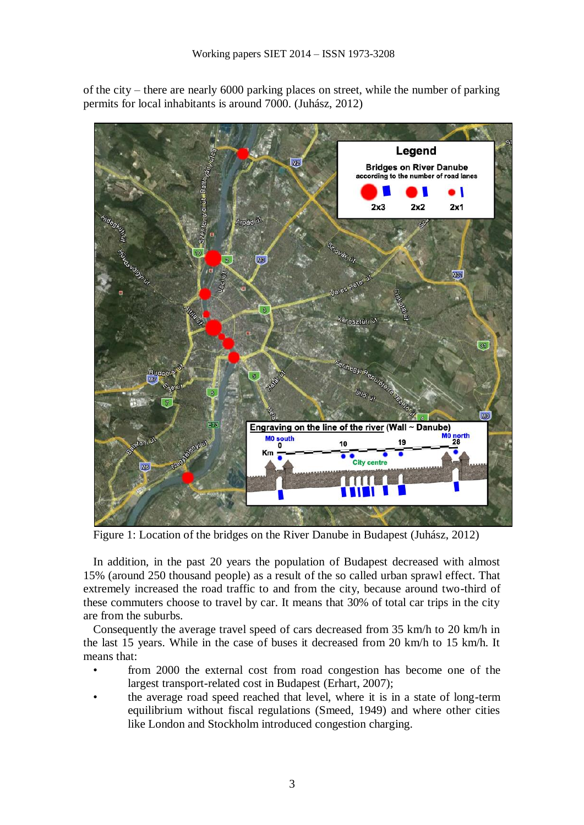of the city – there are nearly 6000 parking places on street, while the number of parking permits for local inhabitants is around 7000. (Juhász, 2012)



Figure 1: Location of the bridges on the River Danube in Budapest (Juhász, 2012)

In addition, in the past 20 years the population of Budapest decreased with almost 15% (around 250 thousand people) as a result of the so called urban sprawl effect. That extremely increased the road traffic to and from the city, because around two-third of these commuters choose to travel by car. It means that 30% of total car trips in the city are from the suburbs.

Consequently the average travel speed of cars decreased from 35 km/h to 20 km/h in the last 15 years. While in the case of buses it decreased from 20 km/h to 15 km/h. It means that:

- from 2000 the external cost from road congestion has become one of the largest transport-related cost in Budapest (Erhart, 2007);
- the average road speed reached that level, where it is in a state of long-term equilibrium without fiscal regulations (Smeed, 1949) and where other cities like London and Stockholm introduced congestion charging.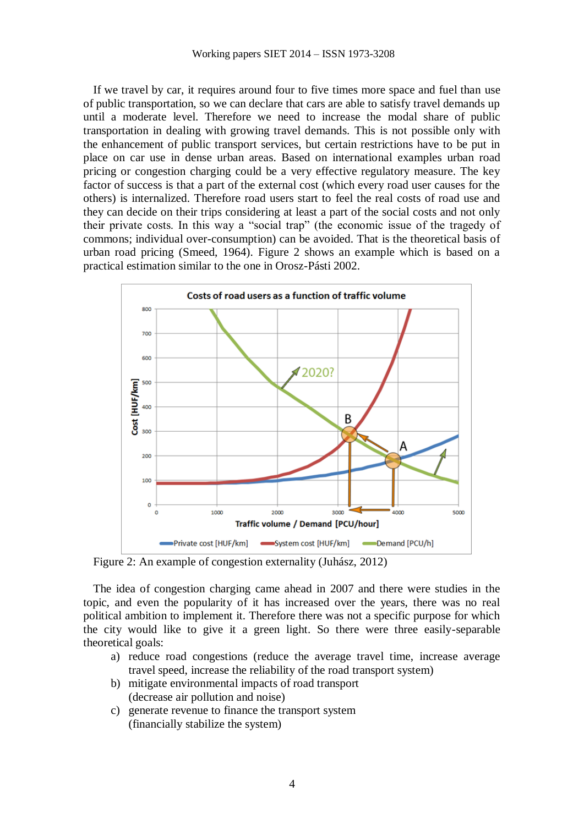If we travel by car, it requires around four to five times more space and fuel than use of public transportation, so we can declare that cars are able to satisfy travel demands up until a moderate level. Therefore we need to increase the modal share of public transportation in dealing with growing travel demands. This is not possible only with the enhancement of public transport services, but certain restrictions have to be put in place on car use in dense urban areas. Based on international examples urban road pricing or congestion charging could be a very effective regulatory measure. The key factor of success is that a part of the external cost (which every road user causes for the others) is internalized. Therefore road users start to feel the real costs of road use and they can decide on their trips considering at least a part of the social costs and not only their private costs. In this way a "social trap" (the economic issue of the tragedy of commons; individual over-consumption) can be avoided. That is the theoretical basis of urban road pricing (Smeed, 1964). Figure 2 shows an example which is based on a practical estimation similar to the one in Orosz-Pásti 2002.



Figure 2: An example of congestion externality (Juhász, 2012)

The idea of congestion charging came ahead in 2007 and there were studies in the topic, and even the popularity of it has increased over the years, there was no real political ambition to implement it. Therefore there was not a specific purpose for which the city would like to give it a green light. So there were three easily-separable theoretical goals:

- a) reduce road congestions (reduce the average travel time, increase average travel speed, increase the reliability of the road transport system)
- b) mitigate environmental impacts of road transport (decrease air pollution and noise)
- c) generate revenue to finance the transport system (financially stabilize the system)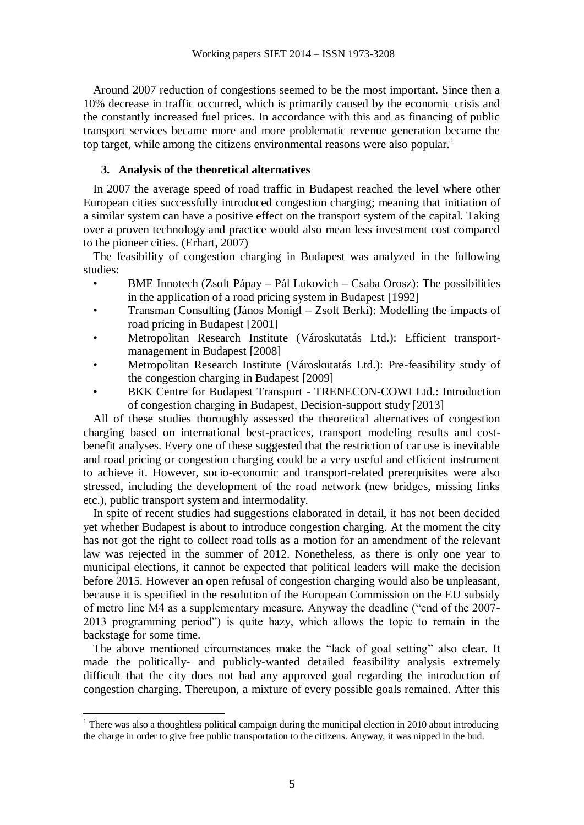Around 2007 reduction of congestions seemed to be the most important. Since then a 10% decrease in traffic occurred, which is primarily caused by the economic crisis and the constantly increased fuel prices. In accordance with this and as financing of public transport services became more and more problematic revenue generation became the top target, while among the citizens environmental reasons were also popular.<sup>1</sup>

#### **3. Analysis of the theoretical alternatives**

In 2007 the average speed of road traffic in Budapest reached the level where other European cities successfully introduced congestion charging; meaning that initiation of a similar system can have a positive effect on the transport system of the capital. Taking over a proven technology and practice would also mean less investment cost compared to the pioneer cities. (Erhart, 2007)

The feasibility of congestion charging in Budapest was analyzed in the following studies:

- BME Innotech (Zsolt Pápay Pál Lukovich Csaba Orosz): The possibilities in the application of a road pricing system in Budapest [1992]
- Transman Consulting (János Monigl Zsolt Berki): Modelling the impacts of road pricing in Budapest [2001]
- Metropolitan Research Institute (Városkutatás Ltd.): Efficient transportmanagement in Budapest [2008]
- Metropolitan Research Institute (Városkutatás Ltd.): Pre-feasibility study of the congestion charging in Budapest [2009]
- BKK Centre for Budapest Transport TRENECON-COWI Ltd.: Introduction of congestion charging in Budapest, Decision-support study [2013]

All of these studies thoroughly assessed the theoretical alternatives of congestion charging based on international best-practices, transport modeling results and costbenefit analyses. Every one of these suggested that the restriction of car use is inevitable and road pricing or congestion charging could be a very useful and efficient instrument to achieve it. However, socio-economic and transport-related prerequisites were also stressed, including the development of the road network (new bridges, missing links etc.), public transport system and intermodality.

In spite of recent studies had suggestions elaborated in detail, it has not been decided yet whether Budapest is about to introduce congestion charging. At the moment the city has not got the right to collect road tolls as a motion for an amendment of the relevant law was rejected in the summer of 2012. Nonetheless, as there is only one year to municipal elections, it cannot be expected that political leaders will make the decision before 2015. However an open refusal of congestion charging would also be unpleasant, because it is specified in the resolution of the European Commission on the EU subsidy of metro line M4 as a supplementary measure. Anyway the deadline ("end of the 2007- 2013 programming period") is quite hazy, which allows the topic to remain in the backstage for some time.

The above mentioned circumstances make the "lack of goal setting" also clear. It made the politically- and publicly-wanted detailed feasibility analysis extremely difficult that the city does not had any approved goal regarding the introduction of congestion charging. Thereupon, a mixture of every possible goals remained. After this

 $\overline{a}$ 

<sup>&</sup>lt;sup>1</sup> There was also a thoughtless political campaign during the municipal election in 2010 about introducing the charge in order to give free public transportation to the citizens. Anyway, it was nipped in the bud.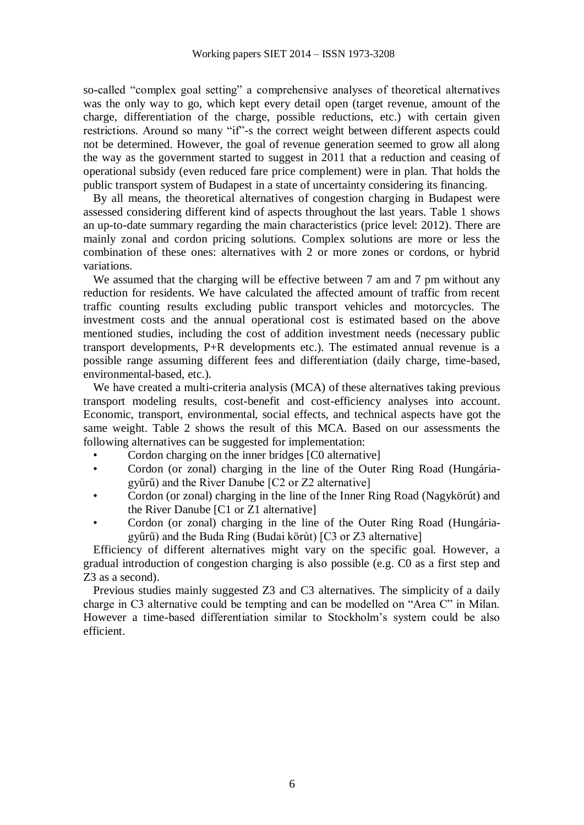so-called "complex goal setting" a comprehensive analyses of theoretical alternatives was the only way to go, which kept every detail open (target revenue, amount of the charge, differentiation of the charge, possible reductions, etc.) with certain given restrictions. Around so many "if"-s the correct weight between different aspects could not be determined. However, the goal of revenue generation seemed to grow all along the way as the government started to suggest in 2011 that a reduction and ceasing of operational subsidy (even reduced fare price complement) were in plan. That holds the public transport system of Budapest in a state of uncertainty considering its financing.

By all means, the theoretical alternatives of congestion charging in Budapest were assessed considering different kind of aspects throughout the last years. Table 1 shows an up-to-date summary regarding the main characteristics (price level: 2012). There are mainly zonal and cordon pricing solutions. Complex solutions are more or less the combination of these ones: alternatives with 2 or more zones or cordons, or hybrid variations.

We assumed that the charging will be effective between 7 am and 7 pm without any reduction for residents. We have calculated the affected amount of traffic from recent traffic counting results excluding public transport vehicles and motorcycles. The investment costs and the annual operational cost is estimated based on the above mentioned studies, including the cost of addition investment needs (necessary public transport developments, P+R developments etc.). The estimated annual revenue is a possible range assuming different fees and differentiation (daily charge, time-based, environmental-based, etc.).

We have created a multi-criteria analysis (MCA) of these alternatives taking previous transport modeling results, cost-benefit and cost-efficiency analyses into account. Economic, transport, environmental, social effects, and technical aspects have got the same weight. Table 2 shows the result of this MCA. Based on our assessments the following alternatives can be suggested for implementation:

- Cordon charging on the inner bridges [C0 alternative]
- Cordon (or zonal) charging in the line of the Outer Ring Road (Hungáriagyűrű) and the River Danube [C2 or Z2 alternative]
- Cordon (or zonal) charging in the line of the Inner Ring Road (Nagykörút) and the River Danube [C1 or Z1 alternative]
- Cordon (or zonal) charging in the line of the Outer Ring Road (Hungáriagyűrű) and the Buda Ring (Budai körút) [C3 or Z3 alternative]

Efficiency of different alternatives might vary on the specific goal. However, a gradual introduction of congestion charging is also possible (e.g. C0 as a first step and Z3 as a second).

Previous studies mainly suggested Z3 and C3 alternatives. The simplicity of a daily charge in C3 alternative could be tempting and can be modelled on "Area C" in Milan. However a time-based differentiation similar to Stockholm's system could be also efficient.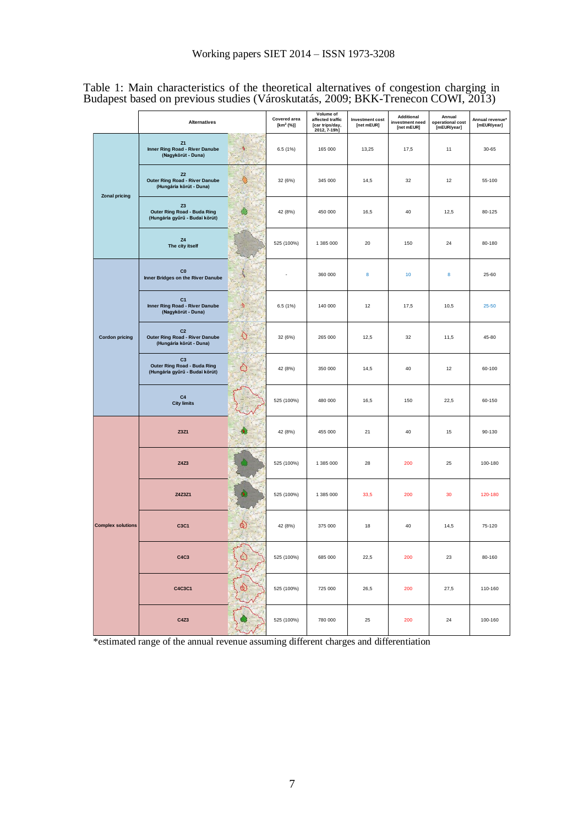|  |                          | <b>Alternatives</b>                                                                |            | Covered area<br>[km <sup>2</sup> (%)] | Volume of<br>affected traffic<br>[car trips/day,<br>2012, 7-19h] | <b>Investment cost</b><br>[net mEUR] | <b>Additional</b><br>investment need<br>[net mEUR] | Annual<br>operational cost<br>[mEUR/year] | Annual revenue*<br>[mEUR/year] |
|--|--------------------------|------------------------------------------------------------------------------------|------------|---------------------------------------|------------------------------------------------------------------|--------------------------------------|----------------------------------------------------|-------------------------------------------|--------------------------------|
|  |                          | Z1<br>Inner Ring Road - River Danube<br>(Nagykörút - Duna)                         | ۰          | 6.5 (1%)                              | 165 000                                                          | 13,25                                | 17,5                                               | 11                                        | 30-65                          |
|  | <b>Zonal pricing</b>     | Z2<br>Outer Ring Road - River Danube<br>(Hungária körút - Duna)                    |            | 32 (6%)                               | 345 000                                                          | 14,5                                 | 32                                                 | 12                                        | 55-100                         |
|  |                          | Z <sub>3</sub><br>Outer Ring Road - Buda Ring<br>(Hungária gyűrű - Budai körút)    |            | 42 (8%)                               | 450 000                                                          | 16,5                                 | 40                                                 | 12,5                                      | 80-125                         |
|  |                          | $\mathsf{Z}4$<br>The city itself                                                   |            | 525 (100%)                            | 1 385 000                                                        | 20                                   | 150                                                | 24                                        | 80-180                         |
|  | <b>Cordon pricing</b>    | $_{\rm CO}$<br>Inner Bridges on the River Danube                                   |            | ÷                                     | 360 000                                                          | 8                                    | 10                                                 | 8                                         | 25-60                          |
|  |                          | C <sub>1</sub><br>Inner Ring Road - River Danube<br>(Nagykörút - Duna)             | $\theta$   | 6.5 (1%)                              | 140 000                                                          | 12                                   | 17,5                                               | 10,5                                      | 25-50                          |
|  |                          | C <sub>2</sub><br><b>Outer Ring Road - River Danube</b><br>(Hungária körút - Duna) | $\Diamond$ | 32 (6%)                               | 265 000                                                          | 12,5                                 | 32                                                 | 11,5                                      | 45-80                          |
|  |                          | C <sub>3</sub><br>Outer Ring Road - Buda Ring<br>(Hungária gyűrű - Budai körút)    |            | 42 (8%)                               | 350 000                                                          | 14,5                                 | 40                                                 | 12                                        | 60-100                         |
|  |                          | C <sub>4</sub><br><b>City limits</b>                                               |            | 525 (100%)                            | 480 000                                                          | 16,5                                 | 150                                                | 22,5                                      | 60-150                         |
|  | <b>Complex solutions</b> | Z3Z1                                                                               |            | 42 (8%)                               | 455 000                                                          | 21                                   | 40                                                 | 15                                        | 90-130                         |
|  |                          | Z4Z3                                                                               |            | 525 (100%)                            | 1 385 000                                                        | 28                                   | 200                                                | 25                                        | 100-180                        |
|  |                          | Z4Z3Z1                                                                             |            | 525 (100%)                            | 1 385 000                                                        | 33,5                                 | 200                                                | 30                                        | 120-180                        |
|  |                          | C3C1                                                                               | €          | 42 (8%)                               | 375 000                                                          | 18                                   | 40                                                 | 14,5                                      | 75-120                         |
|  |                          | C4C3                                                                               | C          | 525 (100%)                            | 685 000                                                          | 22,5                                 | 200                                                | 23                                        | 80-160                         |
|  |                          | C4C3C1                                                                             |            | 525 (100%)                            | 725 000                                                          | 26,5                                 | 200                                                | 27,5                                      | 110-160                        |
|  |                          | C4Z3                                                                               |            | 525 (100%)                            | 780 000                                                          | 25                                   | 200                                                | 24                                        | 100-160                        |

Table 1: Main characteristics of the theoretical alternatives of congestion charging in Budapest based on previous studies (Városkutatás, 2009; BKK-Trenecon COWI, 2013)

\*estimated range of the annual revenue assuming different charges and differentiation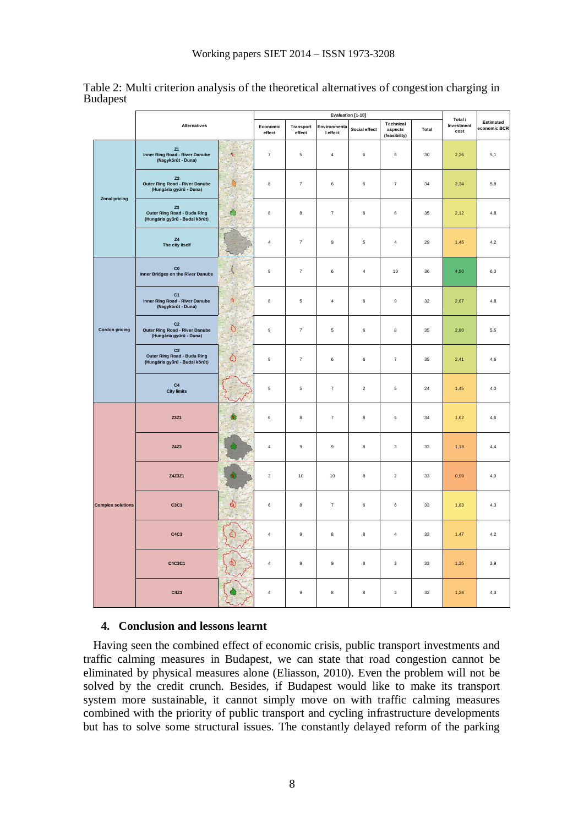|                          | Alternatives                                                                       |                | Evaluation [1-10]          |                         |                          |               |                                       |        |                               |                           |
|--------------------------|------------------------------------------------------------------------------------|----------------|----------------------------|-------------------------|--------------------------|---------------|---------------------------------------|--------|-------------------------------|---------------------------|
|                          |                                                                                    |                | Economic<br>${\rm effect}$ | Transport<br>effect     | Environmenta<br>I effect | Social effect | Technical<br>aspects<br>(feasibility) | Total  | Total /<br>Investment<br>cost | Estimated<br>economic BCR |
|                          | Z1<br>Inner Ring Road - River Danube<br>(Nagykörút - Duna)                         | $\mathbf{Q}$   | $\boldsymbol{7}$           | $\mathbf 5$             | $\overline{\mathbf{4}}$  | $\,6\,$       | 8                                     | 30     | 2,26                          | 5,1                       |
| Zonal pricing            | Z <sub>2</sub><br><b>Outer Ring Road - River Danube</b><br>(Hungária gyűrű - Duna) |                | $\bf8$                     | $\scriptstyle{7}$       | $\,6\,$                  | 6             | $\overline{\mathcal{I}}$              | 34     | 2,34                          | 5,8                       |
|                          | Z3<br>Outer Ring Road - Buda Ring<br>(Hungária gyűrű - Budai körút)                |                | $\bf8$                     | $\bf8$                  | $\overline{7}$           | 6             | 6                                     | 35     | 2,12                          | 4,8                       |
|                          | $\mathsf{Z}4$<br>The city itself                                                   |                | $\overline{4}$             | $\boldsymbol{7}$        | $\boldsymbol{9}$         | $\,$ 5 $\,$   | $\sqrt{4}$                            | 29     | 1,45                          | 4,2                       |
|                          | Co<br>Inner Bridges on the River Danube                                            | $\mathfrak{f}$ | $\boldsymbol{9}$           | $\scriptstyle{7}$       | $\,6\,$                  | $\pmb{4}$     | 10                                    | $36\,$ | 4,50                          | 6,0                       |
|                          | C1<br>Inner Ring Road - River Danube<br>(Nagykörút - Duna)                         | $\Phi$         | $\bf8$                     | $\mathbf 5$             | $\pmb{4}$                | $\mathbf 6$   | $\boldsymbol{9}$                      | 32     | 2,67                          | 4,8                       |
| <b>Cordon pricing</b>    | C <sub>2</sub><br>Outer Ring Road - River Danube<br>(Hungária gyűrű - Duna)        | $\mathcal{O}$  | $\mathsf g$                | $\overline{\mathbf{r}}$ | $\mathbf 5$              | 6             | 8                                     | 35     | 2,80                          | 5,5                       |
|                          | C <sub>3</sub><br>Outer Ring Road - Buda Ring<br>(Hungária gyűrű - Budai körút)    | €              | $\boldsymbol{9}$           | $\scriptstyle{7}$       | $\,6\,$                  | 6             | $\overline{\mathbf{7}}$               | 35     | 2,41                          | 4,6                       |
|                          | C4<br><b>City limits</b>                                                           |                | $\,$ 5 $\,$                | $\,$ 5 $\,$             | $\overline{7}$           | $\mathbf{2}$  | $\,$ 5 $\,$                           | 24     | 1,45                          | 4,0                       |
|                          | Z3Z1                                                                               |                | $\,6\,$                    | $\bf8$                  | $\overline{\mathcal{I}}$ | $\bf8$        | $\mathbf 5$                           | 34     | 1,62                          | 4,6                       |
|                          | Z4Z3                                                                               |                | $\sqrt{4}$                 | $\boldsymbol{9}$        | $\boldsymbol{9}$         | $\bf8$        | $\ensuremath{\mathsf{3}}$             | 33     | 1,18                          | 4,4                       |
|                          | Z4Z3Z1                                                                             |                | $\mathbf{3}$               | 10                      | 10                       | $\bf8$        | $\bar{2}$                             | 33     | 0,99                          | 4,0                       |
| <b>Complex solutions</b> | C3C1                                                                               | ♦              | 6                          | $\bf8$                  | $\overline{7}$           | 6             | 6                                     | 33     | 1,83                          | 4,3                       |
|                          | C4C3                                                                               |                | $\sqrt{4}$                 | $\mathsf g$             | $\bf8$                   | $\bf8$        | $\sqrt{4}$                            | 33     | 1,47                          | 4,2                       |
|                          | C4C3C1                                                                             |                | $\overline{4}$             | $\mathsf g$             | $\mathsf g$              | $\bf8$        | $\ensuremath{\mathsf{3}}$             | 33     | 1,25                          | 3,9                       |
|                          | C4Z3                                                                               |                | $\sqrt{4}$                 | $\boldsymbol{9}$        | $\bf 8$                  | $\bf8$        | $\mathsf 3$                           | 32     | 1,28                          | 4,3                       |

Table 2: Multi criterion analysis of the theoretical alternatives of congestion charging in Budapest

## **4. Conclusion and lessons learnt**

Having seen the combined effect of economic crisis, public transport investments and traffic calming measures in Budapest, we can state that road congestion cannot be eliminated by physical measures alone (Eliasson, 2010). Even the problem will not be solved by the credit crunch. Besides, if Budapest would like to make its transport system more sustainable, it cannot simply move on with traffic calming measures combined with the priority of public transport and cycling infrastructure developments but has to solve some structural issues. The constantly delayed reform of the parking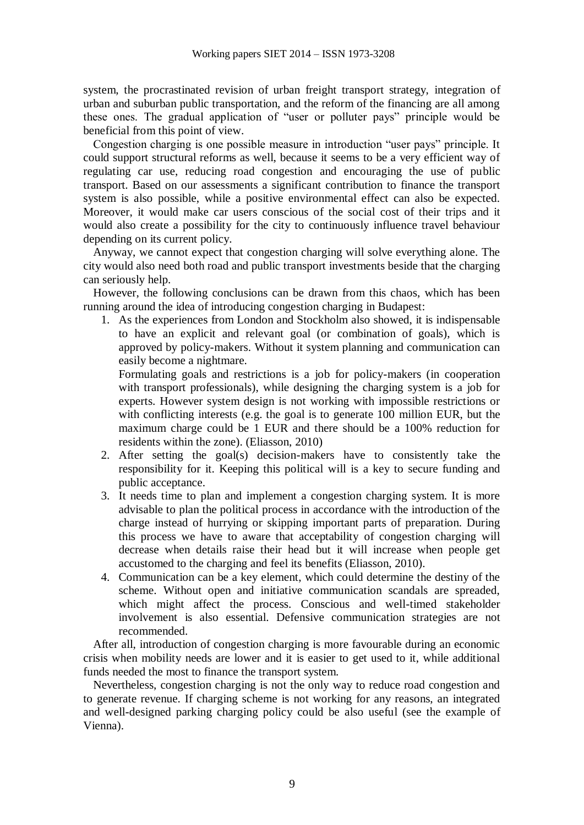system, the procrastinated revision of urban freight transport strategy, integration of urban and suburban public transportation, and the reform of the financing are all among these ones. The gradual application of "user or polluter pays" principle would be beneficial from this point of view.

Congestion charging is one possible measure in introduction "user pays" principle. It could support structural reforms as well, because it seems to be a very efficient way of regulating car use, reducing road congestion and encouraging the use of public transport. Based on our assessments a significant contribution to finance the transport system is also possible, while a positive environmental effect can also be expected. Moreover, it would make car users conscious of the social cost of their trips and it would also create a possibility for the city to continuously influence travel behaviour depending on its current policy.

Anyway, we cannot expect that congestion charging will solve everything alone. The city would also need both road and public transport investments beside that the charging can seriously help.

However, the following conclusions can be drawn from this chaos, which has been running around the idea of introducing congestion charging in Budapest:

1. As the experiences from London and Stockholm also showed, it is indispensable to have an explicit and relevant goal (or combination of goals), which is approved by policy-makers. Without it system planning and communication can easily become a nightmare.

Formulating goals and restrictions is a job for policy-makers (in cooperation with transport professionals), while designing the charging system is a job for experts. However system design is not working with impossible restrictions or with conflicting interests (e.g. the goal is to generate 100 million EUR, but the maximum charge could be 1 EUR and there should be a 100% reduction for residents within the zone). (Eliasson, 2010)

- 2. After setting the goal(s) decision-makers have to consistently take the responsibility for it. Keeping this political will is a key to secure funding and public acceptance.
- 3. It needs time to plan and implement a congestion charging system. It is more advisable to plan the political process in accordance with the introduction of the charge instead of hurrying or skipping important parts of preparation. During this process we have to aware that acceptability of congestion charging will decrease when details raise their head but it will increase when people get accustomed to the charging and feel its benefits (Eliasson, 2010).
- 4. Communication can be a key element, which could determine the destiny of the scheme. Without open and initiative communication scandals are spreaded, which might affect the process. Conscious and well-timed stakeholder involvement is also essential. Defensive communication strategies are not recommended.

After all, introduction of congestion charging is more favourable during an economic crisis when mobility needs are lower and it is easier to get used to it, while additional funds needed the most to finance the transport system.

Nevertheless, congestion charging is not the only way to reduce road congestion and to generate revenue. If charging scheme is not working for any reasons, an integrated and well-designed parking charging policy could be also useful (see the example of Vienna).